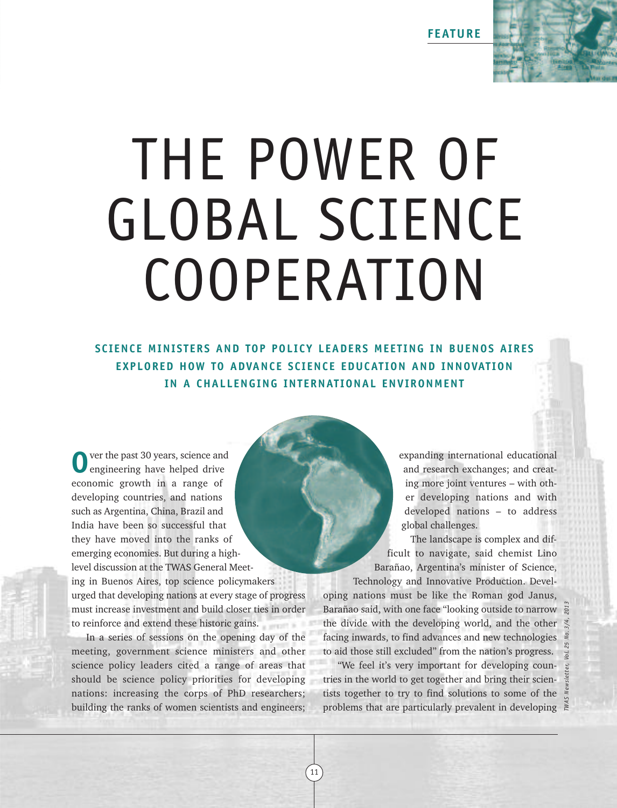**FEATURE**

# THE POWER OF GLOBAL SCIENCE COOPERATION

**SCIENCE MINISTERS AND TOP POLICY LEADERS MEET ING IN BUENOS AIRES EXPLORED HOW TO ADVANCE SCIENCE EDUCATION AND INNOVATION IN A CHALLENGING INTERNAT IONAL ENVIRONMENT**

ver the past 30 years, science and engineering have helped drive economic growth in a range of developing countries, and nations such as Argentina, China, Brazil and India have been so successful that they have moved into the ranks of emerging economies. But during a highlevel discussion at the TWAS General Meeting in Buenos Aires, top science policymakers urged that developing nations at every stage of progress must increase investment and build closer ties in order to reinforce and extend these historic gains.

In a series of sessions on the opening day of the meeting, government science ministers and other science policy leaders cited a range of areas that should be science policy priorities for developing nations: increasing the corps of PhD researchers; building the ranks of women scientists and engineers;

expanding international educational and research exchanges; and creating more joint ventures – with other developing nations and with developed nations – to address global challenges.

The landscape is complex and difficult to navigate, said chemist Lino Barañao, Argentina's minister of Science, Technology and Innovative Production. Devel-

oping nations must be like the Roman god Janus, Barañao said, with one face "looking outside to narrow the divide with the developing world, and the other facing inwards, to find advances and new technologies to aid those still excluded" from the nation's progress. Barañao said, with one face "looking outside to narrow  $\frac{25}{8}$ <br>the divide with the developing world, and the other  $\frac{25}{8}$ <br>facing inwards, to find advances and new technologies  $\frac{25}{8}$ <br>to aid those still excluded

"We feel it's very important for developing countries in the world to get together and bring their scientists together to try to find solutions to some of the

11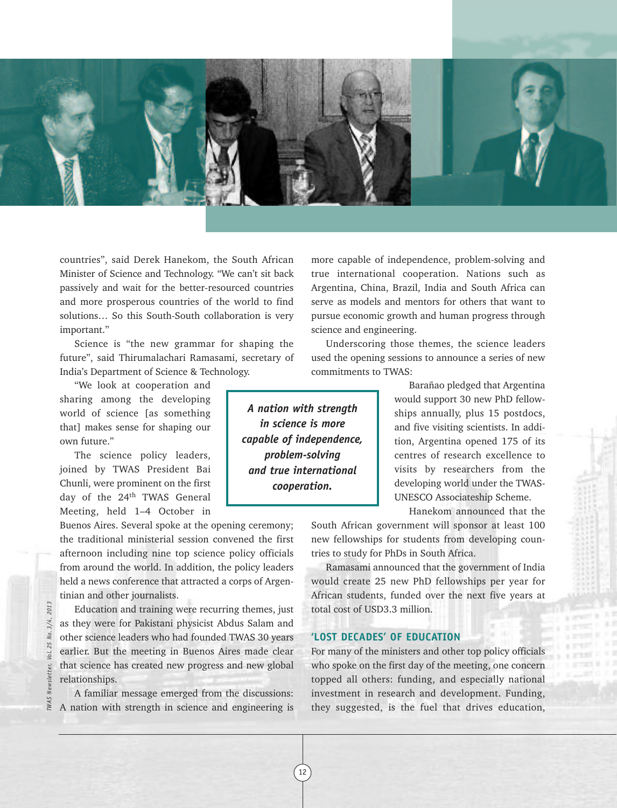

countries", said Derek Hanekom, the South African Minister of Science and Technology. "We can't sit back passively and wait for the better-resourced countries and more prosperous countries of the world to find solutions… So this South-South collaboration is very important."

Science is "the new grammar for shaping the future", said Thirumalachari Ramasami, secretary of India's Department of Science & Technology.

"We look at cooperation and sharing among the developing world of science [as something that] makes sense for shaping our own future."

The science policy leaders, joined by TWAS President Bai Chunli, were prominent on the first day of the 24<sup>th</sup> TWAS General Meeting, held 1–4 October in

Buenos Aires. Several spoke at the opening ceremony; the traditional ministerial session convened the first afternoon including nine top science policy officials from around the world. In addition, the policy leaders held a news conference that attracted a corps of Argentinian and other journalists.

Education and training were recurring themes, just as they were for Pakistani physicist Abdus Salam and other science leaders who had founded TWAS 30 years earlier. But the meeting in Buenos Aires made clear that science has created new progress and new global relationships.

A familiar message emerged from the discussions: A nation with strength in science and engineering is more capable of independence, problem-solving and true international cooperation. Nations such as Argentina, China, Brazil, India and South Africa can serve as models and mentors for others that want to pursue economic growth and human progress through science and engineering.

Underscoring those themes, the science leaders used the opening sessions to announce a series of new commitments to TWAS:

*A nation with strength in science is more capable of independence, problem-solving and true international cooperation.*

12

Barañao pledged that Argentina would support 30 new PhD fellowships annually, plus 15 postdocs, and five visiting scientists. In addition, Argentina opened 175 of its centres of research excellence to visits by researchers from the developing world under the TWAS-UNESCO Associateship Scheme.

Hanekom announced that the

South African government will sponsor at least 100 new fellowships for students from developing countries to study for PhDs in South Africa.

Ramasami announced that the government of India would create 25 new PhD fellowships per year for African students, funded over the next five years at total cost of USD3.3 million.

# **'LOST DECADES' OF EDUCATION**

For many of the ministers and other top policy officials who spoke on the first day of the meeting, one concern topped all others: funding, and especially national investment in research and development. Funding, they suggested, is the fuel that drives education,

2013 *TWAS Newsletter, Vol. 25 No. 3/4, 2013*3/4, 25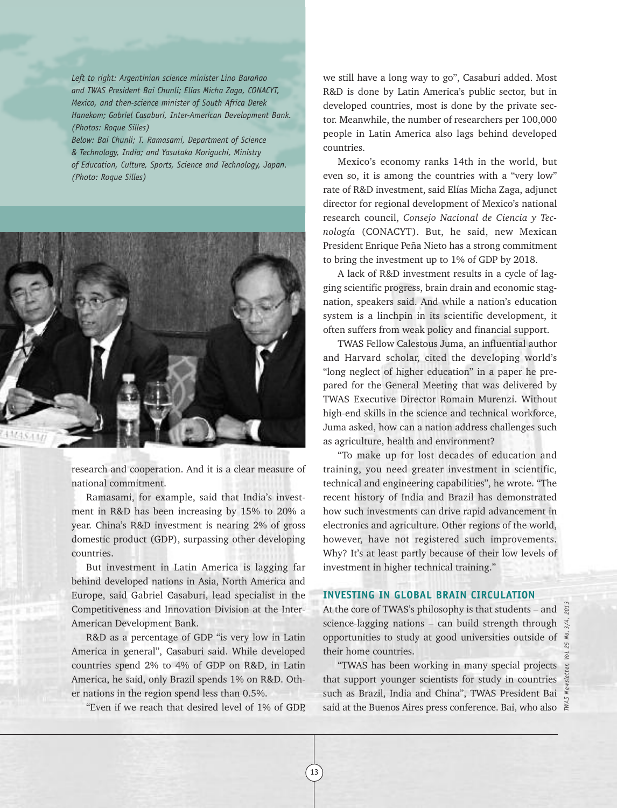*Left to right: Argentinian science minister Lino Barañao and TWAS President Bai Chunli; Elías Micha Zaga, CONACYT, Mexico, and then-science minister of South Africa Derek Hanekom; Gabriel Casaburi, Inter-American Development Bank. (Photos: Roque Silles)*

*Below: Bai Chunli; T. Ramasami, Department of Science & Technology, India; and Yasutaka Moriguchi, Ministry of Education, Culture, Sports, Science and Technology, Japan. (Photo: Roque Silles)*



research and cooperation. And it is a clear measure of national commitment.

Ramasami, for example, said that India's investment in R&D has been increasing by 15% to 20% a year. China's R&D investment is nearing 2% of gross domestic product (GDP), surpassing other developing countries.

But investment in Latin America is lagging far behind developed nations in Asia, North America and Europe, said Gabriel Casaburi, lead specialist in the Competitiveness and Innovation Division at the Inter-American Development Bank.

R&D as a percentage of GDP "is very low in Latin America in general", Casaburi said. While developed countries spend 2% to 4% of GDP on R&D, in Latin America, he said, only Brazil spends 1% on R&D. Other nations in the region spend less than 0.5%.

"Even if we reach that desired level of 1% of GDP,

we still have a long way to go", Casaburi added. Most R&D is done by Latin America's public sector, but in developed countries, most is done by the private sector. Meanwhile, the number of researchers per 100,000 people in Latin America also lags behind developed countries.

Mexico's economy ranks 14th in the world, but even so, it is among the countries with a "very low" rate of R&D investment, said Elías Micha Zaga, adjunct director for regional development of Mexico's national research council, *Consejo Nacional de Ciencia y Tecnología* (CONACYT). But, he said, new Mexican President Enrique Peña Nieto has a strong commitment to bring the investment up to 1% of GDP by 2018.

A lack of R&D investment results in a cycle of lagging scientific progress, brain drain and economic stagnation, speakers said. And while a nation's education system is a linchpin in its scientific development, it often suffers from weak policy and financial support.

TWAS Fellow Calestous Juma, an influential author and Harvard scholar, cited the developing world's "long neglect of higher education" in a paper he prepared for the General Meeting that was delivered by TWAS Executive Director Romain Murenzi. Without high-end skills in the science and technical workforce, Juma asked, how can a nation address challenges such as agriculture, health and environment?

"To make up for lost decades of education and training, you need greater investment in scientific, technical and engineering capabilities", he wrote. "The recent history of India and Brazil has demonstrated how such investments can drive rapid advancement in electronics and agriculture. Other regions of the world, however, have not registered such improvements. Why? It's at least partly because of their low levels of investment in higher technical training."

### **INVESTING IN GLOBAL BRAIN CIRCULATION**

At the core of TWAS's philosophy is that students – and  $\frac{8}{8}$ science-lagging nations – can build strength through  $\stackrel{*}{\leq}$ opportunities to study at good universities outside of their home countries.

"TWAS has been working in many special projects that support younger scientists for study in countries such as Brazil, India and China", TWAS President Bai said at the Buenos Aires press conference. Bai, who also

13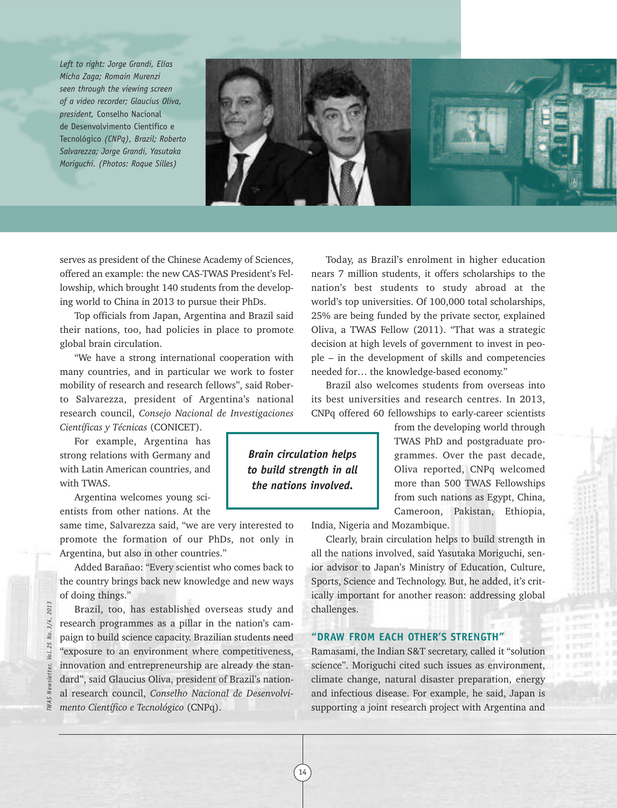*Left to right: Jorge Grandi, Elías Micha Zaga; Romain Murenzi seen through the viewing screen of a video recorder; Glaucius Oliva, president,* Conselho Nacional de Desenvolvimento Científico e Tecnológico *(CNPq), Brazil; Roberto Salvarezza; Jorge Grandi, Yasutaka Moriguchi. (Photos: Roque Silles)*



serves as president of the Chinese Academy of Sciences, offered an example: the new CAS-TWAS President's Fellowship, which brought 140 students from the developing world to China in 2013 to pursue their PhDs.

Top officials from Japan, Argentina and Brazil said their nations, too, had policies in place to promote global brain circulation.

"We have a strong international cooperation with many countries, and in particular we work to foster mobility of research and research fellows", said Roberto Salvarezza, president of Argentina's national research council, *Consejo Nacional de Investigaciones*

*Científicas y Técnicas* (CONICET).

For example, Argentina has strong relations with Germany and with Latin American countries, and with TWAS.

Argentina welcomes young scientists from other nations. At the

same time, Salvarezza said, "we are very interested to promote the formation of our PhDs, not only in Argentina, but also in other countries."

Added Barañao: "Every scientist who comes back to the country brings back new knowledge and new ways of doing things."

Brazil, too, has established overseas study and research programmes as a pillar in the nation's campaign to build science capacity. Brazilian students need "exposure to an environment where competitiveness, innovation and entrepreneurship are already the standard", said Glaucius Oliva, president of Brazil's national research council, *Conselho Nacional de Desenvolvimento Científico e Tecnológico* (CNPq).

Today, as Brazil's enrolment in higher education nears 7 million students, it offers scholarships to the nation's best students to study abroad at the world's top universities. Of 100,000 total scholarships, 25% are being funded by the private sector, explained Oliva, a TWAS Fellow (2011). "That was a strategic decision at high levels of government to invest in people – in the development of skills and competencies needed for… the knowledge-based economy."

Brazil also welcomes students from overseas into its best universities and research centres. In 2013, CNPq offered 60 fellowships to early-career scientists

> from the developing world through TWAS PhD and postgraduate programmes. Over the past decade, Oliva reported, CNPq welcomed more than 500 TWAS Fellowships from such nations as Egypt, China, Cameroon, Pakistan, Ethiopia,

India, Nigeria and Mozambique.

Clearly, brain circulation helps to build strength in all the nations involved, said Yasutaka Moriguchi, senior advisor to Japan's Ministry of Education, Culture, Sports, Science and Technology. But, he added, it's critically important for another reason: addressing global challenges.

# **"DRAW FROM EACH OTHER'S STRENGTH"**

Ramasami, the Indian S&T secretary, called it "solution science". Moriguchi cited such issues as environment, climate change, natural disaster preparation, energy and infectious disease. For example, he said, Japan is supporting a joint research project with Argentina and

2013 *TWAS Newsletter, Vol. 25 No. 3/4, 2013*  $3/4.$ 25 Vol.

*Brain circulation helps to build strength in all the nations involved.*

14